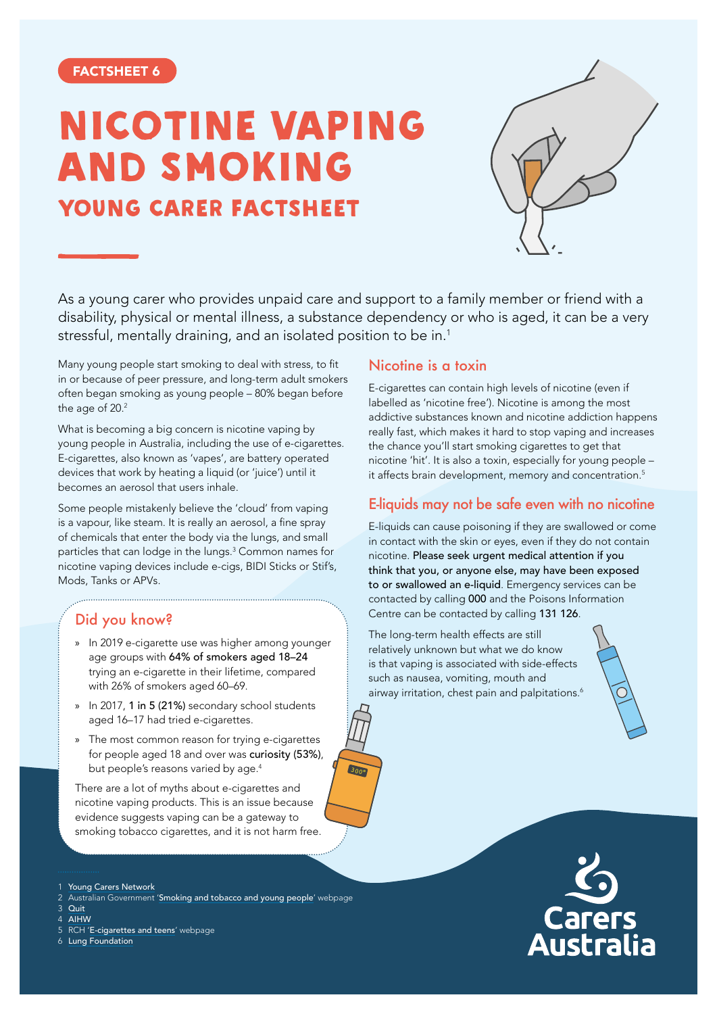# NICOTINE VAPING AND SMOKING YOUNG CARER FACTSHEET



As a young carer who provides unpaid care and support to a family member or friend with a disability, physical or mental illness, a substance dependency or who is aged, it can be a very stressful, mentally draining, and an isolated position to be in.<sup>1</sup>

 $300^{\circ}$ 

Many young people start smoking to deal with stress, to fit in or because of peer pressure, and long-term adult smokers often began smoking as young people – 80% began before the age of 20.<sup>2</sup>

What is becoming a big concern is nicotine vaping by young people in Australia, including the use of e-cigarettes. E-cigarettes, also known as 'vapes', are battery operated devices that work by heating a liquid (or 'juice') until it becomes an aerosol that users inhale.

Some people mistakenly believe the 'cloud' from vaping is a vapour, like steam. It is really an aerosol, a fine spray of chemicals that enter the body via the lungs, and small particles that can lodge in the lungs.3 Common names for nicotine vaping devices include e-cigs, BIDI Sticks or Stif's, Mods, Tanks or APVs.

## Did you know?

- » In 2019 e-cigarette use was higher among younger age groups with 64% of smokers aged 18–24 trying an e-cigarette in their lifetime, compared with 26% of smokers aged 60–69.
- » In 2017, 1 in 5 (21%) secondary school students aged 16–17 had tried e-cigarettes.
- » The most common reason for trying e-cigarettes for people aged 18 and over was curiosity (53%), but people's reasons varied by age.<sup>4</sup>

There are a lot of myths about e-cigarettes and nicotine vaping products. This is an issue because evidence suggests vaping can be a gateway to smoking tobacco cigarettes, and it is not harm free.

- [Young Carers Network](https://youngcarersnetwork.com.au/young-carers-info/young-carers/how-can-i-help/)
- 2 Australian Government '[Smoking and tobacco and young people](https://www.health.gov.au/health-topics/smoking-and-tobacco/smoking-and-tobacco-throughout-life/smoking-and-tobacco-and-young-people)' webpage
- 3 [Quit](https://www.quit.org.au/articles/teenvaping/)
- 4 [AIHW](https://www.aihw.gov.au/reports/australias-health/tobacco-smoking)
- 5 RCH '[E-cigarettes and teens](https://www.rch.org.au/kidsinfo/fact_sheets/E-cigarettes_and_teens/)' webpage
- 6 [Lung Foundation](https://lungfoundation.com.au/wp-content/uploads/2021/07/Factsheet-Vaping-and-Young-People_For-Parents-Jul2021.pdf)

#### Nicotine is a toxin

E-cigarettes can contain high levels of nicotine (even if labelled as 'nicotine free'). Nicotine is among the most addictive substances known and nicotine addiction happens really fast, which makes it hard to stop vaping and increases the chance you'll start smoking cigarettes to get that nicotine 'hit'. It is also a toxin, especially for young people – it affects brain development, memory and concentration.<sup>5</sup>

#### E-liquids may not be safe even with no nicotine

E-liquids can cause poisoning if they are swallowed or come in contact with the skin or eyes, even if they do not contain nicotine. Please seek urgent medical attention if you think that you, or anyone else, may have been exposed to or swallowed an e-liquid. Emergency services can be contacted by calling 000 and the Poisons Information Centre can be contacted by calling 131 126.

The long-term health effects are still relatively unknown but what we do know is that vaping is associated with side-effects such as nausea, vomiting, mouth and airway irritation, chest pain and palpitations.<sup>6</sup>